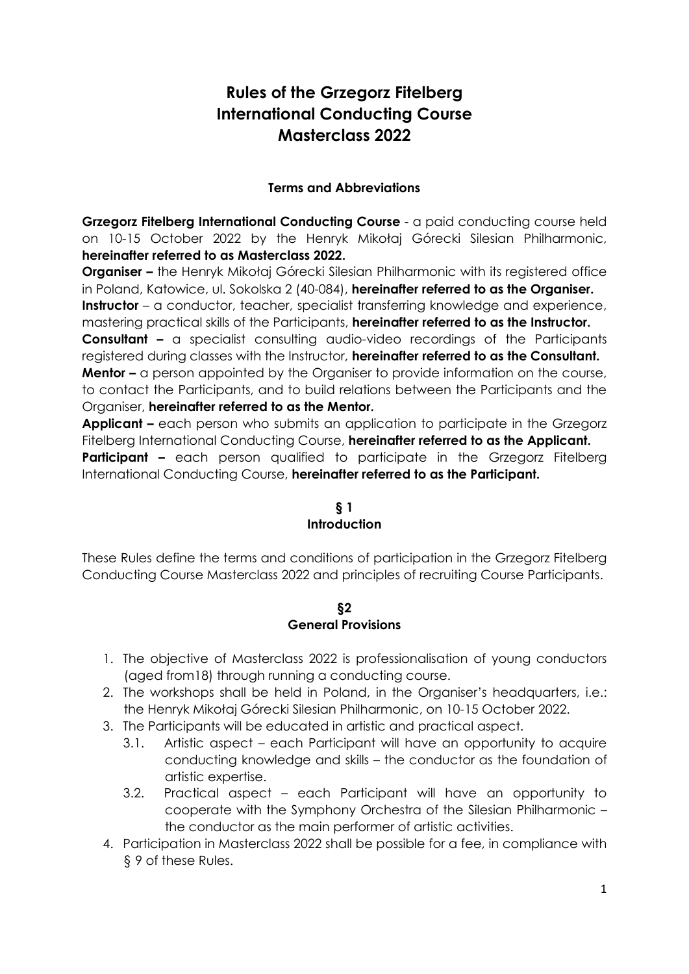# **Rules of the Grzegorz Fitelberg International Conducting Course Masterclass 2022**

## **Terms and Abbreviations**

**Grzegorz Fitelberg International Conducting Course** - a paid conducting course held on 10-15 October 2022 by the Henryk Mikołaj Górecki Silesian Philharmonic, **hereinafter referred to as Masterclass 2022.** 

**Organiser -** the Henryk Mikołaj Górecki Silesian Philharmonic with its registered office in Poland, Katowice, ul. Sokolska 2 (40-084), **hereinafter referred to as the Organiser. Instructor** – a conductor, teacher, specialist transferring knowledge and experience,

mastering practical skills of the Participants, **hereinafter referred to as the Instructor. Consultant –** a specialist consulting audio-video recordings of the Participants registered during classes with the Instructor, **hereinafter referred to as the Consultant. Mentor** – a person appointed by the Organiser to provide information on the course, to contact the Participants, and to build relations between the Participants and the Organiser, **hereinafter referred to as the Mentor.** 

**Applicant –** each person who submits an application to participate in the Grzegorz Fitelberg International Conducting Course, **hereinafter referred to as the Applicant. Participant –** each person qualified to participate in the Grzegorz Fitelberg International Conducting Course, **hereinafter referred to as the Participant.** 

## **§ 1 Introduction**

These Rules define the terms and conditions of participation in the Grzegorz Fitelberg Conducting Course Masterclass 2022 and principles of recruiting Course Participants.

#### **§2 General Provisions**

- 1. The objective of Masterclass 2022 is professionalisation of young conductors (aged from18) through running a conducting course.
- 2. The workshops shall be held in Poland, in the Organiser's headquarters, i.e.: the Henryk Mikołaj Górecki Silesian Philharmonic, on 10-15 October 2022.
- 3. The Participants will be educated in artistic and practical aspect.
	- 3.1. Artistic aspect each Participant will have an opportunity to acquire conducting knowledge and skills – the conductor as the foundation of artistic expertise.
	- 3.2. Practical aspect each Participant will have an opportunity to cooperate with the Symphony Orchestra of the Silesian Philharmonic – the conductor as the main performer of artistic activities.
- 4. Participation in Masterclass 2022 shall be possible for a fee, in compliance with § 9 of these Rules.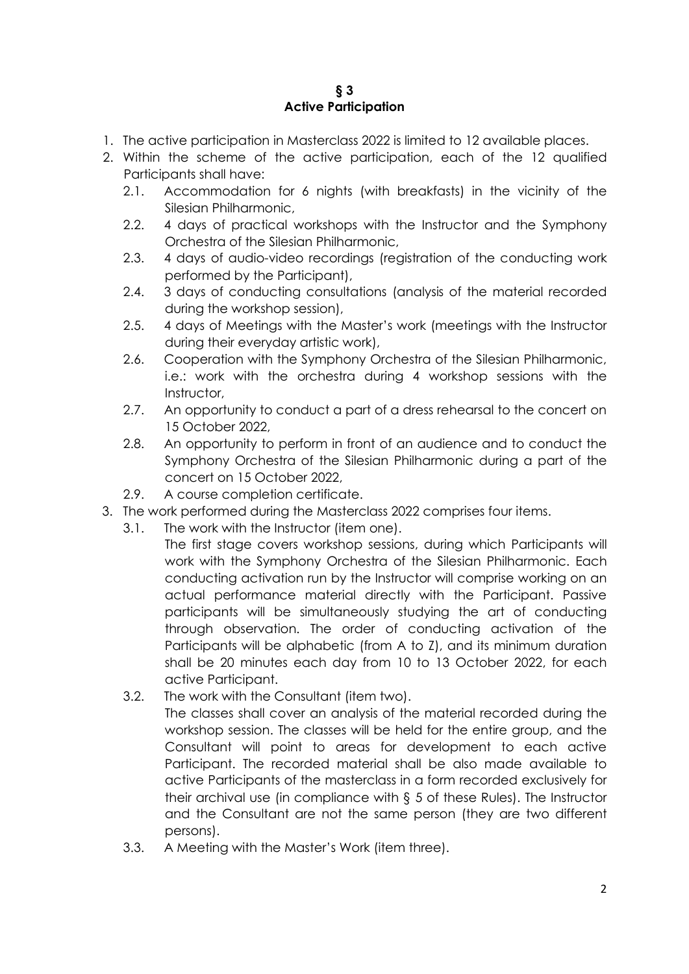#### **§ 3 Active Participation**

- 1. The active participation in Masterclass 2022 is limited to 12 available places.
- 2. Within the scheme of the active participation, each of the 12 qualified Participants shall have:
	- 2.1. Accommodation for 6 nights (with breakfasts) in the vicinity of the Silesian Philharmonic,
	- 2.2. 4 days of practical workshops with the Instructor and the Symphony Orchestra of the Silesian Philharmonic,
	- 2.3. 4 days of audio-video recordings (registration of the conducting work performed by the Participant),
	- 2.4. 3 days of conducting consultations (analysis of the material recorded during the workshop session),
	- 2.5. 4 days of Meetings with the Master's work (meetings with the Instructor during their everyday artistic work),
	- 2.6. Cooperation with the Symphony Orchestra of the Silesian Philharmonic, i.e.: work with the orchestra during 4 workshop sessions with the Instructor,
	- 2.7. An opportunity to conduct a part of a dress rehearsal to the concert on 15 October 2022,
	- 2.8. An opportunity to perform in front of an audience and to conduct the Symphony Orchestra of the Silesian Philharmonic during a part of the concert on 15 October 2022,
	- 2.9. A course completion certificate.
- 3. The work performed during the Masterclass 2022 comprises four items.
	- 3.1. The work with the Instructor (item one).
		- The first stage covers workshop sessions, during which Participants will work with the Symphony Orchestra of the Silesian Philharmonic. Each conducting activation run by the Instructor will comprise working on an actual performance material directly with the Participant. Passive participants will be simultaneously studying the art of conducting through observation. The order of conducting activation of the Participants will be alphabetic (from A to Z), and its minimum duration shall be 20 minutes each day from 10 to 13 October 2022, for each active Participant.
	- 3.2. The work with the Consultant (item two).
		- The classes shall cover an analysis of the material recorded during the workshop session. The classes will be held for the entire group, and the Consultant will point to areas for development to each active Participant. The recorded material shall be also made available to active Participants of the masterclass in a form recorded exclusively for their archival use (in compliance with § 5 of these Rules). The Instructor and the Consultant are not the same person (they are two different persons).
	- 3.3. A Meeting with the Master's Work (item three).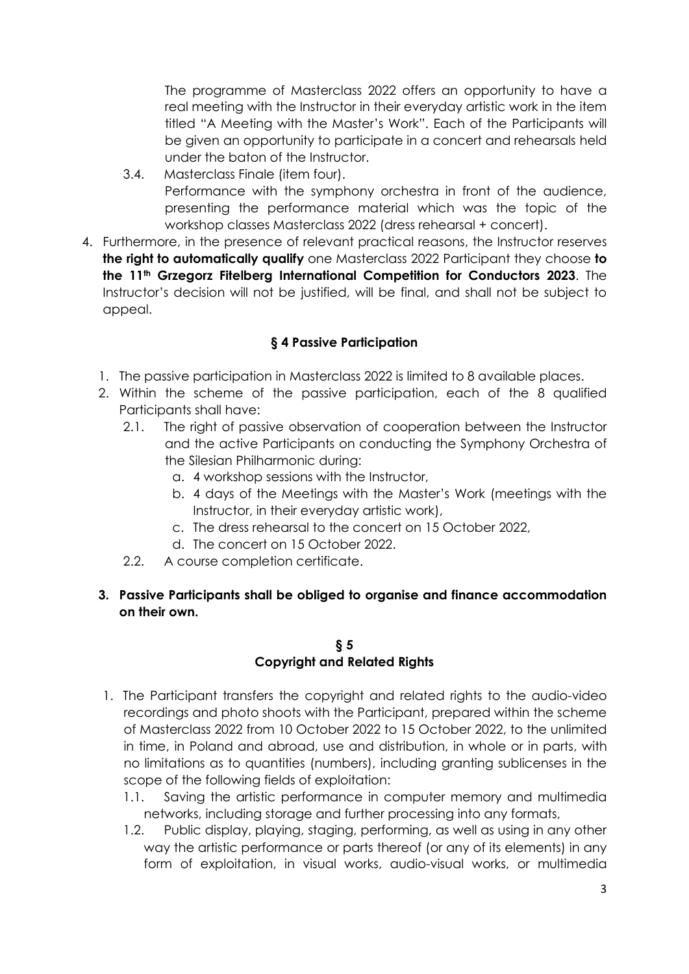The programme of Masterclass 2022 offers an opportunity to have a real meeting with the Instructor in their everyday artistic work in the item titled "A Meeting with the Master's Work". Each of the Participants will be given an opportunity to participate in a concert and rehearsals held under the baton of the Instructor.

- 3.4. Masterclass Finale (item four). Performance with the symphony orchestra in front of the audience, presenting the performance material which was the topic of the workshop classes Masterclass 2022 (dress rehearsal + concert).
- 4. Furthermore, in the presence of relevant practical reasons, the Instructor reserves **the right to automatically qualify** one Masterclass 2022 Participant they choose **to the 11th Grzegorz Fitelberg International Competition for Conductors 2023**. The Instructor's decision will not be justified, will be final, and shall not be subject to appeal.

# **§ 4 Passive Participation**

- 1. The passive participation in Masterclass 2022 is limited to 8 available places.
- 2. Within the scheme of the passive participation, each of the 8 qualified Participants shall have:
	- 2.1. The right of passive observation of cooperation between the Instructor and the active Participants on conducting the Symphony Orchestra of the Silesian Philharmonic during:
		- a. 4 workshop sessions with the Instructor,
		- b. 4 days of the Meetings with the Master's Work (meetings with the Instructor, in their everyday artistic work),
		- c. The dress rehearsal to the concert on 15 October 2022,
		- d. The concert on 15 October 2022.
	- 2.2. A course completion certificate.
- **3. Passive Participants shall be obliged to organise and finance accommodation on their own.**

# **§ 5 Copyright and Related Rights**

- 1. The Participant transfers the copyright and related rights to the audio-video recordings and photo shoots with the Participant, prepared within the scheme of Masterclass 2022 from 10 October 2022 to 15 October 2022, to the unlimited in time, in Poland and abroad, use and distribution, in whole or in parts, with no limitations as to quantities (numbers), including granting sublicenses in the scope of the following fields of exploitation:
	- 1.1. Saving the artistic performance in computer memory and multimedia networks, including storage and further processing into any formats,
	- 1.2. Public display, playing, staging, performing, as well as using in any other way the artistic performance or parts thereof (or any of its elements) in any form of exploitation, in visual works, audio-visual works, or multimedia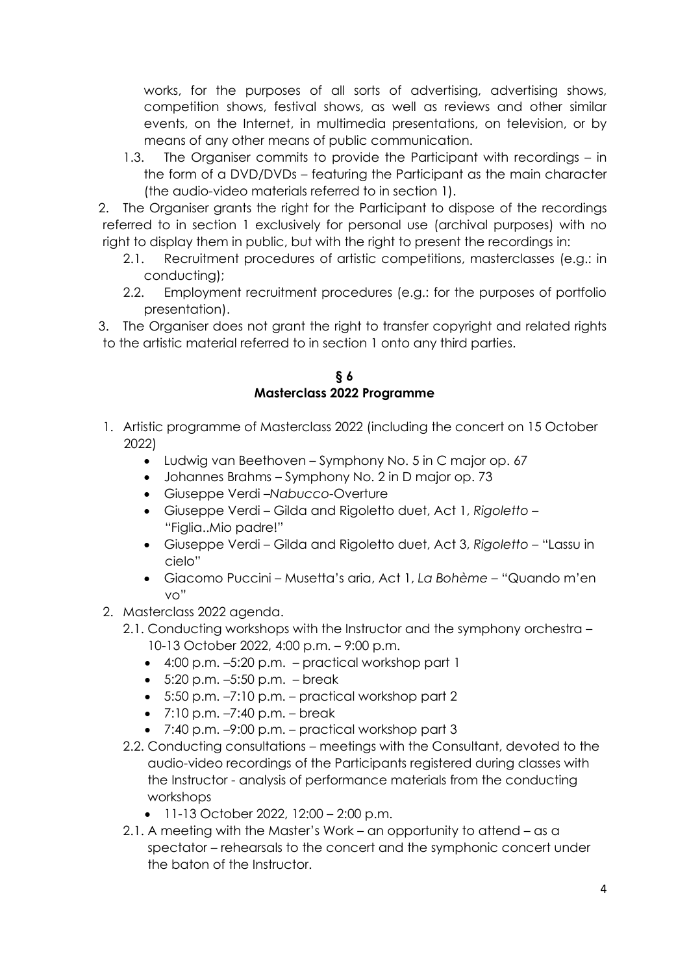works, for the purposes of all sorts of advertising, advertising shows, competition shows, festival shows, as well as reviews and other similar events, on the Internet, in multimedia presentations, on television, or by means of any other means of public communication.

1.3. The Organiser commits to provide the Participant with recordings – in the form of a DVD/DVDs – featuring the Participant as the main character (the audio-video materials referred to in section 1).

2. The Organiser grants the right for the Participant to dispose of the recordings referred to in section 1 exclusively for personal use (archival purposes) with no right to display them in public, but with the right to present the recordings in:

- 2.1. Recruitment procedures of artistic competitions, masterclasses (e.g.: in conducting);
- 2.2. Employment recruitment procedures (e.g.: for the purposes of portfolio presentation).
- 3. The Organiser does not grant the right to transfer copyright and related rights to the artistic material referred to in section 1 onto any third parties.

**§ 6 Masterclass 2022 Programme**

- 1. Artistic programme of Masterclass 2022 (including the concert on 15 October 2022)
	- Ludwig van Beethoven Symphony No. 5 in C major op. 67
	- Johannes Brahms Symphony No. 2 in D major op. 73
	- Giuseppe Verdi –*Nabucco*-Overture
	- Giuseppe Verdi Gilda and Rigoletto duet, Act 1, *Rigoletto* "Figlia..Mio padre!"
	- Giuseppe Verdi Gilda and Rigoletto duet, Act 3, *Rigoletto* "Lassu in cielo"
	- Giacomo Puccini Musetta's aria, Act 1, *La Bohème* "Quando m'en vo"
- 2. Masterclass 2022 agenda.
	- 2.1. Conducting workshops with the Instructor and the symphony orchestra 10-13 October 2022, 4:00 p.m. – 9:00 p.m.
		- 4:00 p.m. –5:20 p.m. practical workshop part 1
		- $\bullet$  5:20 p.m.  $-5:50$  p.m.  $-$  break
		- $\bullet$  5:50 p.m.  $-7:10$  p.m.  $-$  practical workshop part 2
		- $\bullet$  7:10 p.m.  $-7:40$  p.m.  $-$  break
		- $\bullet$  7:40 p.m.  $-9:00$  p.m. practical workshop part 3
	- 2.2. Conducting consultations meetings with the Consultant, devoted to the audio-video recordings of the Participants registered during classes with the Instructor - analysis of performance materials from the conducting workshops
		- $\bullet$  11-13 October 2022, 12:00 2:00 p.m.
	- 2.1. A meeting with the Master's Work an opportunity to attend as a spectator – rehearsals to the concert and the symphonic concert under the baton of the Instructor.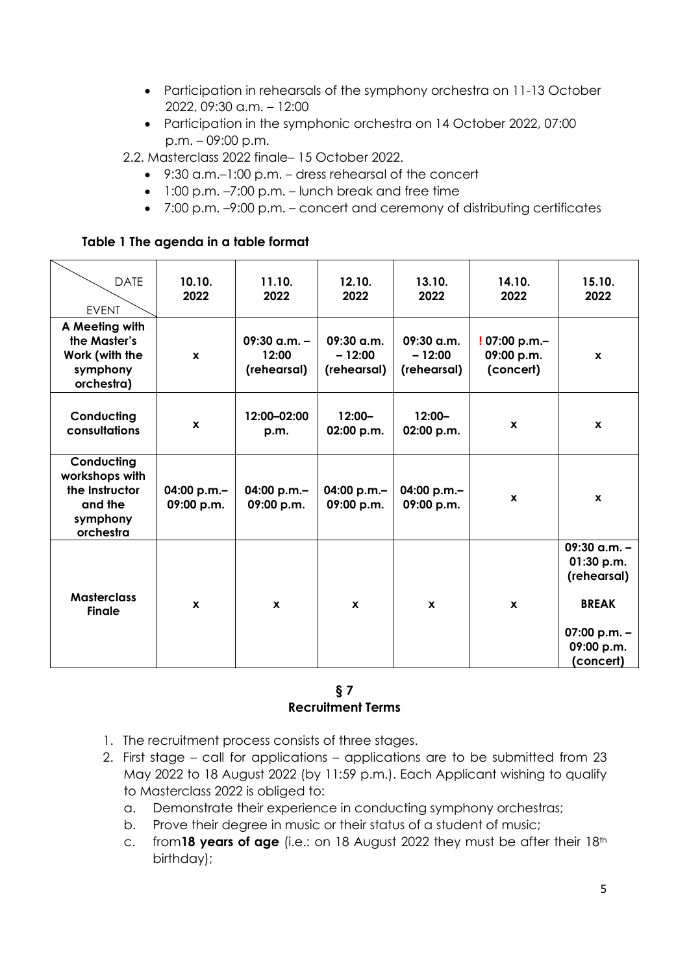- Participation in rehearsals of the symphony orchestra on 11-13 October 2022, 09:30 a.m. – 12:00
- Participation in the symphonic orchestra on 14 October 2022, 07:00 p.m. – 09:00 p.m.
- 2.2. Masterclass 2022 finale– 15 October 2022.
	- 9:30 a.m.–1:00 p.m. dress rehearsal of the concert
	- $\bullet$  1:00 p.m.  $-7:00$  p.m.  $-$  lunch break and free time
	- 7:00 p.m. –9:00 p.m. concert and ceremony of distributing certificates

#### **Table 1 The agenda in a table format**

| <b>DATE</b><br><b>EVENT</b>                                                        | 10.10.<br>2022            | 11.10.<br>2022                           | 12.10.<br>2022                          | 13.10.<br>2022                          | 14.10.<br>2022                          | 15.10.<br>2022                                                                                           |
|------------------------------------------------------------------------------------|---------------------------|------------------------------------------|-----------------------------------------|-----------------------------------------|-----------------------------------------|----------------------------------------------------------------------------------------------------------|
| A Meeting with<br>the Master's<br>Work (with the<br>symphony<br>orchestra)         | $\mathbf{x}$              | $09:30$ a.m. $-$<br>12:00<br>(rehearsal) | $09:30$ a.m.<br>$-12:00$<br>(rehearsal) | $09:30$ a.m.<br>$-12:00$<br>(rehearsal) | !07:00 p.m.-<br>09:00 p.m.<br>(concert) | $\mathbf{x}$                                                                                             |
| Conducting<br>consultations                                                        | $\mathbf x$               | 12:00-02:00<br>p.m.                      | $12:00 -$<br>02:00 p.m.                 | $12:00 -$<br>02:00 p.m.                 | $\mathbf{x}$                            | $\mathbf{x}$                                                                                             |
| Conducting<br>workshops with<br>the Instructor<br>and the<br>symphony<br>orchestra | 04:00 p.m.-<br>09:00 p.m. | 04:00 p.m.-<br>09:00 p.m.                | 04:00 $p.m.$ -<br>09:00 p.m.            | 04:00 p.m.-<br>09:00 p.m.               | $\mathbf{x}$                            | $\mathbf{x}$                                                                                             |
| <b>Masterclass</b><br><b>Finale</b>                                                | $\mathbf{x}$              | $\mathbf{x}$                             | $\mathbf{x}$                            | $\mathbf{x}$                            | $\mathbf{x}$                            | $09:30$ a.m. -<br>01:30 p.m.<br>(rehearsal)<br><b>BREAK</b><br>07:00 p.m. $-$<br>09:00 p.m.<br>(concert) |

#### **§ 7 Recruitment Terms**

- 1. The recruitment process consists of three stages.
- 2. First stage call for applications applications are to be submitted from 23 May 2022 to 18 August 2022 (by 11:59 p.m.). Each Applicant wishing to qualify to Masterclass 2022 is obliged to:
	- a. Demonstrate their experience in conducting symphony orchestras;
	- b. Prove their degree in music or their status of a student of music;
	- c. from**18 years of age** (i.e.: on 18 August 2022 they must be after their 18th birthday);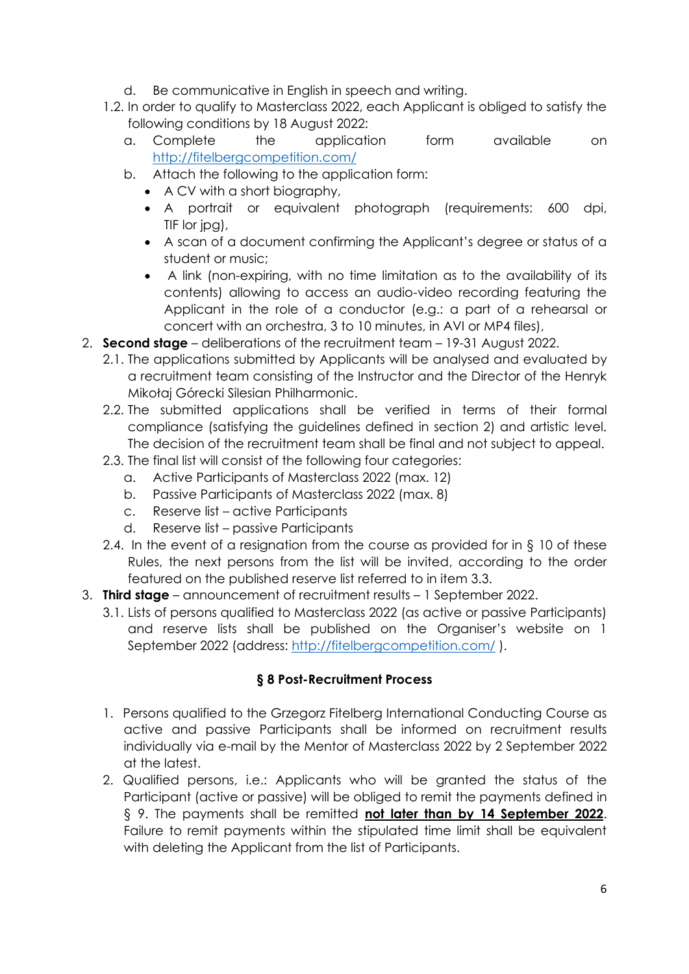- d. Be communicative in English in speech and writing.
- 1.2. In order to qualify to Masterclass 2022, each Applicant is obliged to satisfy the following conditions by 18 August 2022:
	- a. Complete the application form available on <http://fitelbergcompetition.com/>
	- b. Attach the following to the application form:
		- A CV with a short biography,
		- A portrait or equivalent photograph (requirements: 600 dpi, TIF lor jpg),
		- A scan of a document confirming the Applicant's degree or status of a student or music;
		- A link (non-expiring, with no time limitation as to the availability of its contents) allowing to access an audio-video recording featuring the Applicant in the role of a conductor (e.g.: a part of a rehearsal or concert with an orchestra, 3 to 10 minutes, in AVI or MP4 files),
- 2. **Second stage** deliberations of the recruitment team 19-31 August 2022.
	- 2.1. The applications submitted by Applicants will be analysed and evaluated by a recruitment team consisting of the Instructor and the Director of the Henryk Mikołaj Górecki Silesian Philharmonic.
	- 2.2. The submitted applications shall be verified in terms of their formal compliance (satisfying the guidelines defined in section 2) and artistic level. The decision of the recruitment team shall be final and not subject to appeal.
	- 2.3. The final list will consist of the following four categories:
		- a. Active Participants of Masterclass 2022 (max. 12)
		- b. Passive Participants of Masterclass 2022 (max. 8)
		- c. Reserve list active Participants
		- d. Reserve list passive Participants
	- 2.4. In the event of a resignation from the course as provided for in § 10 of these Rules, the next persons from the list will be invited, according to the order featured on the published reserve list referred to in item 3.3.
- 3. **Third stage** announcement of recruitment results 1 September 2022.
	- 3.1. Lists of persons qualified to Masterclass 2022 (as active or passive Participants) and reserve lists shall be published on the Organiser's website on 1 September 2022 (address: <http://fitelbergcompetition.com/> ).

## **§ 8 Post-Recruitment Process**

- 1. Persons qualified to the Grzegorz Fitelberg International Conducting Course as active and passive Participants shall be informed on recruitment results individually via e-mail by the Mentor of Masterclass 2022 by 2 September 2022 at the latest.
- 2. Qualified persons, i.e.: Applicants who will be granted the status of the Participant (active or passive) will be obliged to remit the payments defined in § 9. The payments shall be remitted **not later than by 14 September 2022**. Failure to remit payments within the stipulated time limit shall be equivalent with deleting the Applicant from the list of Participants.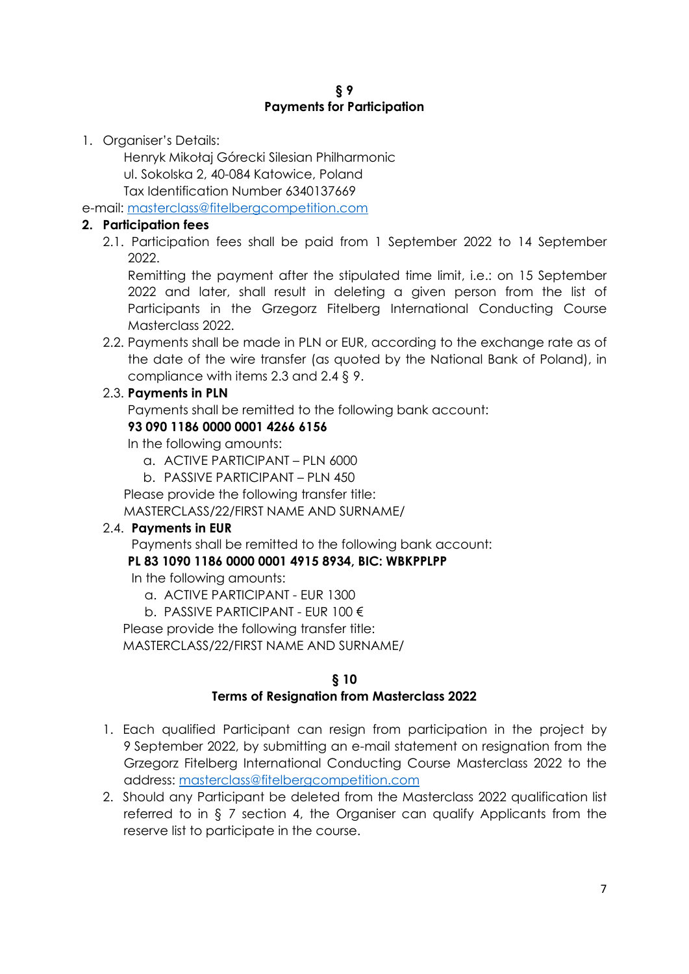1. Organiser's Details:

Henryk Mikołaj Górecki Silesian Philharmonic ul. Sokolska 2, 40-084 Katowice, Poland Tax Identification Number 6340137669

e-mail: [masterclass@fitelbergcompetition.com](mailto:masterclass@fitelbergcompetition.com)

# **2. Participation fees**

2.1. Participation fees shall be paid from 1 September 2022 to 14 September 2022.

Remitting the payment after the stipulated time limit, i.e.: on 15 September 2022 and later, shall result in deleting a given person from the list of Participants in the Grzegorz Fitelberg International Conducting Course Masterclass 2022.

2.2. Payments shall be made in PLN or EUR, according to the exchange rate as of the date of the wire transfer (as quoted by the National Bank of Poland), in compliance with items 2.3 and 2.4 § 9.

# 2.3. **Payments in PLN**

Payments shall be remitted to the following bank account:

# **93 090 1186 0000 0001 4266 6156**

In the following amounts:

- a. ACTIVE PARTICIPANT PLN 6000
- b. PASSIVE PARTICIPANT PLN 450

Please provide the following transfer title:

MASTERCLASS/22/FIRST NAME AND SURNAME/

## 2.4. **Payments in EUR**

Payments shall be remitted to the following bank account:

## **PL 83 1090 1186 0000 0001 4915 8934, BIC: WBKPPLPP**

In the following amounts:

- a. ACTIVE PARTICIPANT EUR 1300
- b. PASSIVE PARTICIPANT EUR 100 €

Please provide the following transfer title:

MASTERCLASS/22/FIRST NAME AND SURNAME/

# **§ 10**

## **Terms of Resignation from Masterclass 2022**

- 1. Each qualified Participant can resign from participation in the project by 9 September 2022, by submitting an e-mail statement on resignation from the Grzegorz Fitelberg International Conducting Course Masterclass 2022 to the address: [masterclass@fitelbergcompetition.com](mailto:masterclass@fitelbergcompetition.com)
- 2. Should any Participant be deleted from the Masterclass 2022 qualification list referred to in § 7 section 4, the Organiser can qualify Applicants from the reserve list to participate in the course.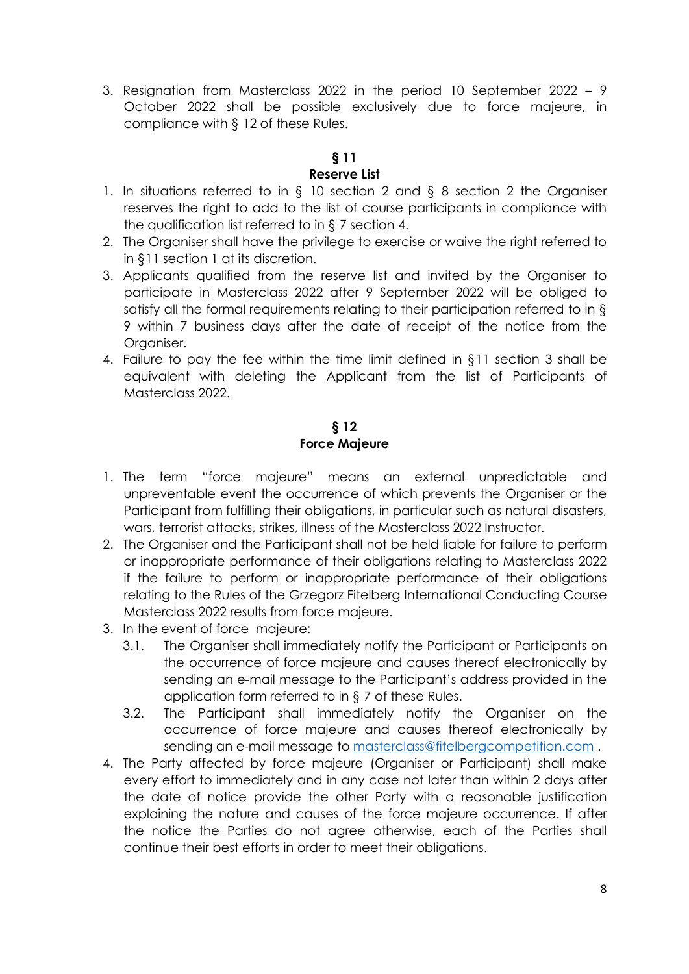3. Resignation from Masterclass 2022 in the period 10 September 2022 – 9 October 2022 shall be possible exclusively due to force majeure, in compliance with § 12 of these Rules.

# **§ 11**

## **Reserve List**

- 1. In situations referred to in § 10 section 2 and § 8 section 2 the Organiser reserves the right to add to the list of course participants in compliance with the qualification list referred to in § 7 section 4.
- 2. The Organiser shall have the privilege to exercise or waive the right referred to in §11 section 1 at its discretion.
- 3. Applicants qualified from the reserve list and invited by the Organiser to participate in Masterclass 2022 after 9 September 2022 will be obliged to satisfy all the formal requirements relating to their participation referred to in § 9 within 7 business days after the date of receipt of the notice from the Organiser.
- 4. Failure to pay the fee within the time limit defined in §11 section 3 shall be equivalent with deleting the Applicant from the list of Participants of Masterclass 2022.

# **§ 12 Force Majeure**

- 1. The term "force majeure" means an external unpredictable and unpreventable event the occurrence of which prevents the Organiser or the Participant from fulfilling their obligations, in particular such as natural disasters, wars, terrorist attacks, strikes, illness of the Masterclass 2022 Instructor.
- 2. The Organiser and the Participant shall not be held liable for failure to perform or inappropriate performance of their obligations relating to Masterclass 2022 if the failure to perform or inappropriate performance of their obligations relating to the Rules of the Grzegorz Fitelberg International Conducting Course Masterclass 2022 results from force majeure.
- 3. In the event of force majeure:
	- 3.1. The Organiser shall immediately notify the Participant or Participants on the occurrence of force majeure and causes thereof electronically by sending an e-mail message to the Participant's address provided in the application form referred to in § 7 of these Rules.
	- 3.2. The Participant shall immediately notify the Organiser on the occurrence of force majeure and causes thereof electronically by sending an e-mail message to [masterclass@fitelbergcompetition.com](mailto:masterclass@fitelbergcompetition.com) .
- 4. The Party affected by force majeure (Organiser or Participant) shall make every effort to immediately and in any case not later than within 2 days after the date of notice provide the other Party with a reasonable justification explaining the nature and causes of the force majeure occurrence. If after the notice the Parties do not agree otherwise, each of the Parties shall continue their best efforts in order to meet their obligations.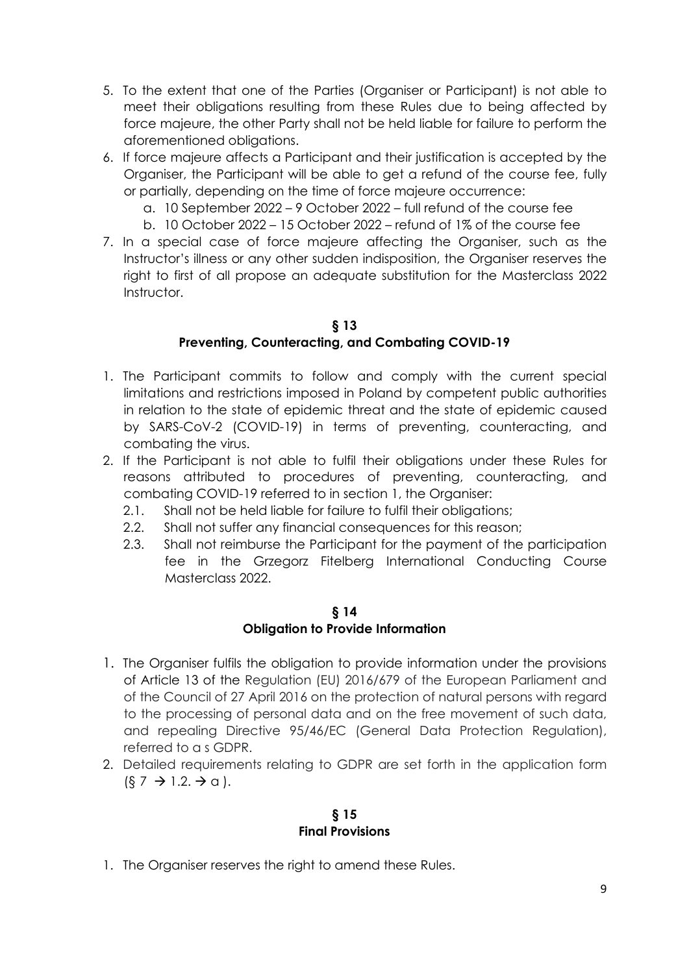- 5. To the extent that one of the Parties (Organiser or Participant) is not able to meet their obligations resulting from these Rules due to being affected by force majeure, the other Party shall not be held liable for failure to perform the aforementioned obligations.
- 6. If force majeure affects a Participant and their justification is accepted by the Organiser, the Participant will be able to get a refund of the course fee, fully or partially, depending on the time of force majeure occurrence:
	- a. 10 September 2022 9 October 2022 full refund of the course fee
	- b. 10 October 2022 15 October 2022 refund of 1% of the course fee
- 7. In a special case of force majeure affecting the Organiser, such as the Instructor's illness or any other sudden indisposition, the Organiser reserves the right to first of all propose an adequate substitution for the Masterclass 2022 Instructor.

## **§ 13 Preventing, Counteracting, and Combating COVID-19**

- 1. The Participant commits to follow and comply with the current special limitations and restrictions imposed in Poland by competent public authorities in relation to the state of epidemic threat and the state of epidemic caused by SARS-CoV-2 (COVID-19) in terms of preventing, counteracting, and combating the virus.
- 2. If the Participant is not able to fulfil their obligations under these Rules for reasons attributed to procedures of preventing, counteracting, and combating COVID-19 referred to in section 1, the Organiser:
	- 2.1. Shall not be held liable for failure to fulfil their obligations;
	- 2.2. Shall not suffer any financial consequences for this reason;
	- 2.3. Shall not reimburse the Participant for the payment of the participation fee in the Grzegorz Fitelberg International Conducting Course Masterclass 2022.

#### **§ 14 Obligation to Provide Information**

- 1. The Organiser fulfils the obligation to provide information under the provisions of Article 13 of the Regulation (EU) 2016/679 of the European Parliament and of the Council of 27 April 2016 on the protection of natural persons with regard to the processing of personal data and on the free movement of such data, and repealing Directive 95/46/EC (General Data Protection Regulation), referred to a s GDPR.
- 2. Detailed requirements relating to GDPR are set forth in the application form  $(\xi$  7  $\rightarrow$  1.2.  $\rightarrow$  a ).

#### **§ 15 Final Provisions**

1. The Organiser reserves the right to amend these Rules.